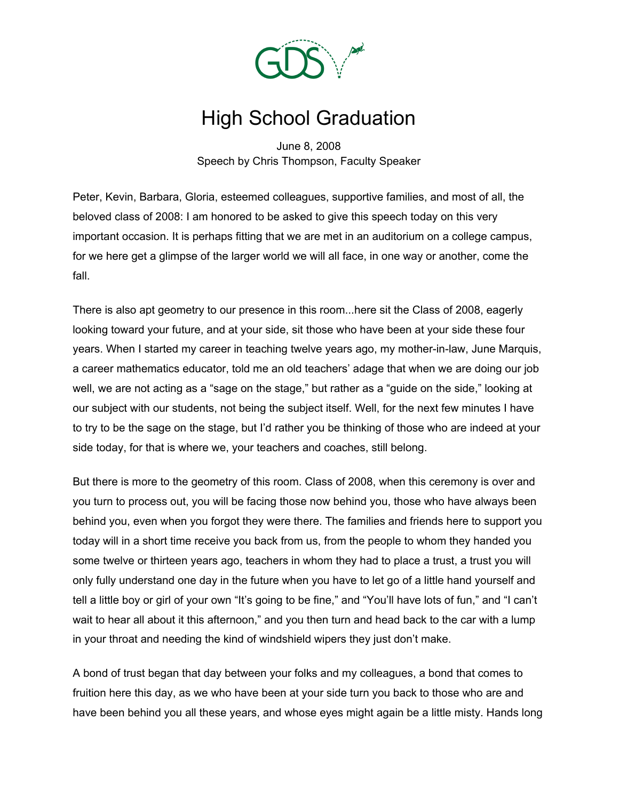

## High School Graduation

June 8, 2008 Speech by Chris Thompson, Faculty Speaker

Peter, Kevin, Barbara, Gloria, esteemed colleagues, supportive families, and most of all, the beloved class of 2008: I am honored to be asked to give this speech today on this very important occasion. It is perhaps fitting that we are met in an auditorium on a college campus, for we here get a glimpse of the larger world we will all face, in one way or another, come the fall.

There is also apt geometry to our presence in this room...here sit the Class of 2008, eagerly looking toward your future, and at your side, sit those who have been at your side these four years. When I started my career in teaching twelve years ago, my mother-in-law, June Marquis, a career mathematics educator, told me an old teachers' adage that when we are doing our job well, we are not acting as a "sage on the stage," but rather as a "guide on the side," looking at our subject with our students, not being the subject itself. Well, for the next few minutes I have to try to be the sage on the stage, but I'd rather you be thinking of those who are indeed at your side today, for that is where we, your teachers and coaches, still belong.

But there is more to the geometry of this room. Class of 2008, when this ceremony is over and you turn to process out, you will be facing those now behind you, those who have always been behind you, even when you forgot they were there. The families and friends here to support you today will in a short time receive you back from us, from the people to whom they handed you some twelve or thirteen years ago, teachers in whom they had to place a trust, a trust you will only fully understand one day in the future when you have to let go of a little hand yourself and tell a little boy or girl of your own "It's going to be fine," and "You'll have lots of fun," and "I can't wait to hear all about it this afternoon," and you then turn and head back to the car with a lump in your throat and needing the kind of windshield wipers they just don't make.

A bond of trust began that day between your folks and my colleagues, a bond that comes to fruition here this day, as we who have been at your side turn you back to those who are and have been behind you all these years, and whose eyes might again be a little misty. Hands long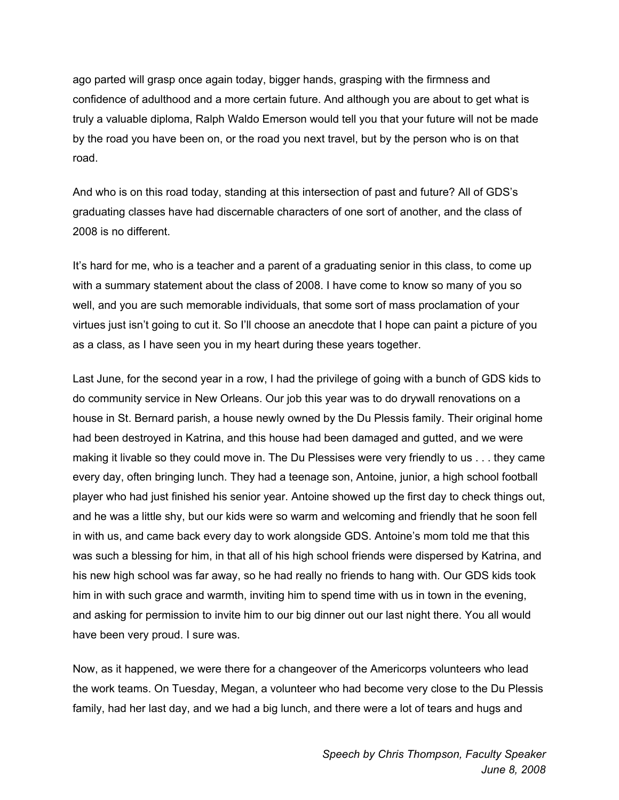ago parted will grasp once again today, bigger hands, grasping with the firmness and confidence of adulthood and a more certain future. And although you are about to get what is truly a valuable diploma, Ralph Waldo Emerson would tell you that your future will not be made by the road you have been on, or the road you next travel, but by the person who is on that road.

And who is on this road today, standing at this intersection of past and future? All of GDS's graduating classes have had discernable characters of one sort of another, and the class of 2008 is no different.

It's hard for me, who is a teacher and a parent of a graduating senior in this class, to come up with a summary statement about the class of 2008. I have come to know so many of you so well, and you are such memorable individuals, that some sort of mass proclamation of your virtues just isn't going to cut it. So I'll choose an anecdote that I hope can paint a picture of you as a class, as I have seen you in my heart during these years together.

Last June, for the second year in a row, I had the privilege of going with a bunch of GDS kids to do community service in New Orleans. Our job this year was to do drywall renovations on a house in St. Bernard parish, a house newly owned by the Du Plessis family. Their original home had been destroyed in Katrina, and this house had been damaged and gutted, and we were making it livable so they could move in. The Du Plessises were very friendly to us . . . they came every day, often bringing lunch. They had a teenage son, Antoine, junior, a high school football player who had just finished his senior year. Antoine showed up the first day to check things out, and he was a little shy, but our kids were so warm and welcoming and friendly that he soon fell in with us, and came back every day to work alongside GDS. Antoine's mom told me that this was such a blessing for him, in that all of his high school friends were dispersed by Katrina, and his new high school was far away, so he had really no friends to hang with. Our GDS kids took him in with such grace and warmth, inviting him to spend time with us in town in the evening, and asking for permission to invite him to our big dinner out our last night there. You all would have been very proud. I sure was.

Now, as it happened, we were there for a changeover of the Americorps volunteers who lead the work teams. On Tuesday, Megan, a volunteer who had become very close to the Du Plessis family, had her last day, and we had a big lunch, and there were a lot of tears and hugs and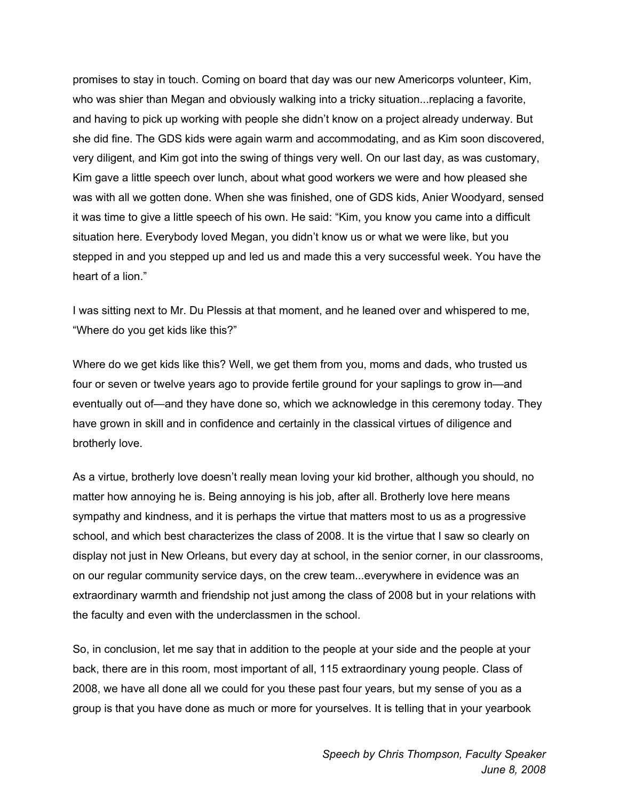promises to stay in touch. Coming on board that day was our new Americorps volunteer, Kim, who was shier than Megan and obviously walking into a tricky situation...replacing a favorite, and having to pick up working with people she didn't know on a project already underway. But she did fine. The GDS kids were again warm and accommodating, and as Kim soon discovered, very diligent, and Kim got into the swing of things very well. On our last day, as was customary, Kim gave a little speech over lunch, about what good workers we were and how pleased she was with all we gotten done. When she was finished, one of GDS kids, Anier Woodyard, sensed it was time to give a little speech of his own. He said: "Kim, you know you came into a difficult situation here. Everybody loved Megan, you didn't know us or what we were like, but you stepped in and you stepped up and led us and made this a very successful week. You have the heart of a lion."

I was sitting next to Mr. Du Plessis at that moment, and he leaned over and whispered to me, "Where do you get kids like this?"

Where do we get kids like this? Well, we get them from you, moms and dads, who trusted us four or seven or twelve years ago to provide fertile ground for your saplings to grow in—and eventually out of—and they have done so, which we acknowledge in this ceremony today. They have grown in skill and in confidence and certainly in the classical virtues of diligence and brotherly love.

As a virtue, brotherly love doesn't really mean loving your kid brother, although you should, no matter how annoying he is. Being annoying is his job, after all. Brotherly love here means sympathy and kindness, and it is perhaps the virtue that matters most to us as a progressive school, and which best characterizes the class of 2008. It is the virtue that I saw so clearly on display not just in New Orleans, but every day at school, in the senior corner, in our classrooms, on our regular community service days, on the crew team...everywhere in evidence was an extraordinary warmth and friendship not just among the class of 2008 but in your relations with the faculty and even with the underclassmen in the school.

So, in conclusion, let me say that in addition to the people at your side and the people at your back, there are in this room, most important of all, 115 extraordinary young people. Class of 2008, we have all done all we could for you these past four years, but my sense of you as a group is that you have done as much or more for yourselves. It is telling that in your yearbook